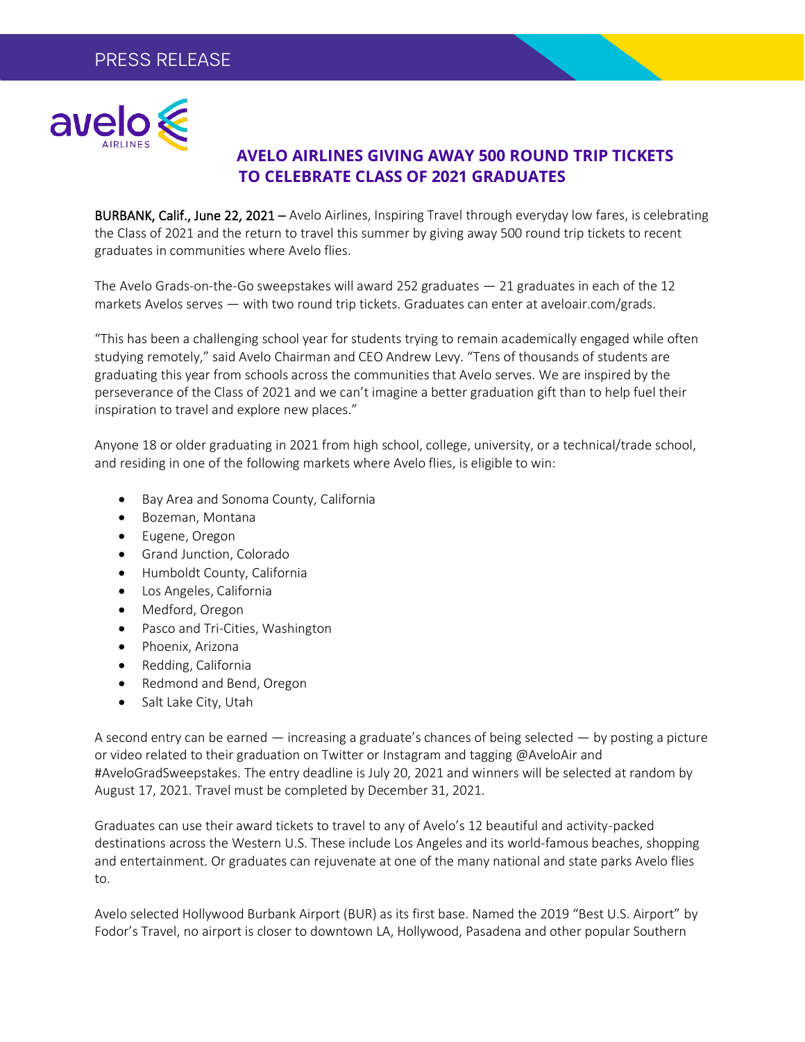

## **AVELO AIRLINES GIVING AWAY 500 ROUND TRIP TICKETS TO CELEBRATE CLASS OF 2021 GRADUATES**

BURBANK, Calif., June 22, 2021 - Avelo Airlines, Inspiring Travel through everyday low fares, is celebrating the Class of 2021 and the return to travel this summer by giving away 500 round trip tickets to recent graduates in communities where Avelo flies.

The Avelo Grads-on-the-Go sweepstakes will award 252 graduates  $-21$  graduates in each of the 12 markets Avelos serves — with two round trip tickets. Graduates can enter at aveloair.com/grads.

"This has been a challenging school year for students trying to remain academically engaged while often studying remotely," said Avelo Chairman and CEO Andrew Levy. "Tens of thousands of students are graduating this year from schools across the communities that Avelo serves. We are inspired by the perseverance of the Class of 2021 and we can't imagine a better graduation gift than to help fuel their inspiration to travel and explore new places."

Anyone 18 or older graduating in 2021 from high school, college, university, or a technical/trade school, and residing in one of the following markets where Avelo flies, is eligible to win:

- Bay Area and Sonoma County, California
- Bozeman, Montana
- Eugene, Oregon
- Grand Junction, Colorado
- Humboldt County, California
- Los Angeles, California
- Medford, Oregon
- Pasco and Tri-Cities, Washington
- Phoenix, Arizona
- Redding, California
- Redmond and Bend, Oregon
- Salt Lake City, Utah

A second entry can be earned — increasing a graduate's chances of being selected — by posting a picture or video related to their graduation on Twitter or Instagram and tagging @AveloAir and #AveloGradSweepstakes. The entry deadline is July 20, 2021 and winners will be selected at random by August 17, 2021. Travel must be completed by December 31, 2021.

Graduates can use their award tickets to travel to any of Avelo's 12 beautiful and activity-packed destinations across the Western U.S. These include Los Angeles and its world-famous beaches, shopping and entertainment. Or graduates can rejuvenate at one of the many national and state parks Avelo flies to.

Avelo selected Hollywood Burbank Airport (BUR) as its first base. Named the 2019 "Best U.S. Airport" by Fodor's Travel, no airport is closer to downtown LA, Hollywood, Pasadena and other popular Southern